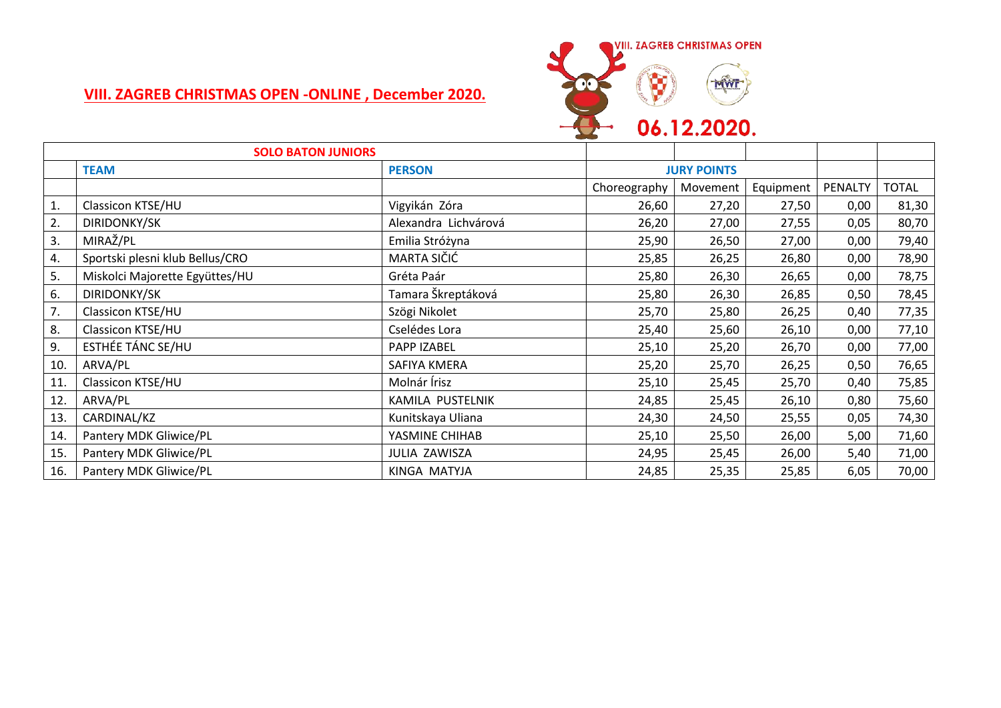## **VIII. ZAGREB CHRISTMAS OPEN -ONLINE , December 2020.**



| <b>SOLO BATON JUNIORS</b> |                                 |                      |                    |          |           |         |              |
|---------------------------|---------------------------------|----------------------|--------------------|----------|-----------|---------|--------------|
|                           | <b>TEAM</b>                     | <b>PERSON</b>        | <b>JURY POINTS</b> |          |           |         |              |
|                           |                                 |                      | Choreography       | Movement | Equipment | PENALTY | <b>TOTAL</b> |
| 1.                        | Classicon KTSE/HU               | Vigyikán Zóra        | 26,60              | 27,20    | 27,50     | 0,00    | 81,30        |
| 2.                        | <b>DIRIDONKY/SK</b>             | Alexandra Lichvárová | 26,20              | 27,00    | 27,55     | 0,05    | 80,70        |
| 3.                        | MIRAŽ/PL                        | Emilia Stróżyna      | 25,90              | 26,50    | 27,00     | 0,00    | 79,40        |
| 4.                        | Sportski plesni klub Bellus/CRO | MARTA SIČIĆ          | 25,85              | 26,25    | 26,80     | 0,00    | 78,90        |
| 5.                        | Miskolci Majorette Együttes/HU  | Gréta Paár           | 25,80              | 26,30    | 26,65     | 0,00    | 78,75        |
| 6.                        | <b>DIRIDONKY/SK</b>             | Tamara Škreptáková   | 25,80              | 26,30    | 26,85     | 0,50    | 78,45        |
| 7.                        | Classicon KTSE/HU               | Szögi Nikolet        | 25,70              | 25,80    | 26,25     | 0,40    | 77,35        |
| 8.                        | Classicon KTSE/HU               | Cselédes Lora        | 25,40              | 25,60    | 26,10     | 0,00    | 77,10        |
| 9.                        | ESTHÉE TÁNC SE/HU               | PAPP IZABEL          | 25,10              | 25,20    | 26,70     | 0,00    | 77,00        |
| 10.                       | ARVA/PL                         | SAFIYA KMERA         | 25,20              | 25,70    | 26,25     | 0,50    | 76,65        |
| 11.                       | Classicon KTSE/HU               | Molnár Írisz         | 25,10              | 25,45    | 25,70     | 0,40    | 75,85        |
| 12.                       | ARVA/PL                         | KAMILA PUSTELNIK     | 24,85              | 25,45    | 26,10     | 0,80    | 75,60        |
| 13.                       | CARDINAL/KZ                     | Kunitskaya Uliana    | 24,30              | 24,50    | 25,55     | 0,05    | 74,30        |
| 14.                       | Pantery MDK Gliwice/PL          | YASMINE CHIHAB       | 25,10              | 25,50    | 26,00     | 5,00    | 71,60        |
| 15.                       | Pantery MDK Gliwice/PL          | <b>JULIA ZAWISZA</b> | 24,95              | 25,45    | 26,00     | 5,40    | 71,00        |
| 16.                       | Pantery MDK Gliwice/PL          | KINGA MATYJA         | 24,85              | 25,35    | 25,85     | 6,05    | 70,00        |